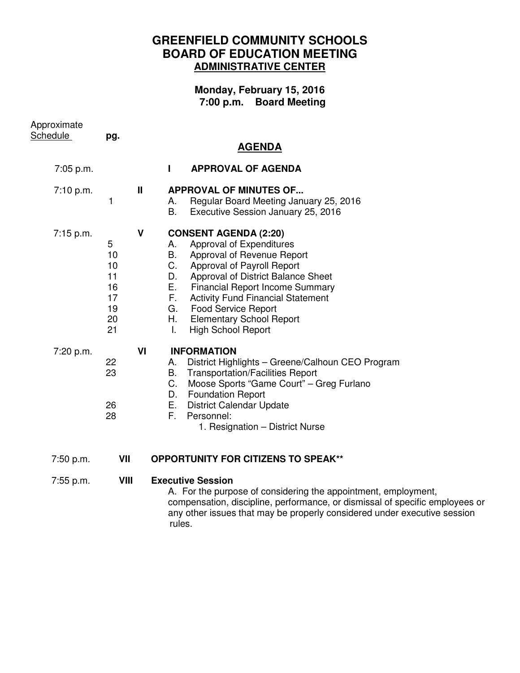## **GREENFIELD COMMUNITY SCHOOLS BOARD OF EDUCATION MEETING ADMINISTRATIVE CENTER**

## **Monday, February 15, 2016 7:00 p.m. Board Meeting**

| Approximate<br>Schedule | pg.                                               |    |                                                                                                                                                                                                                                                                                                                                                                                                               |
|-------------------------|---------------------------------------------------|----|---------------------------------------------------------------------------------------------------------------------------------------------------------------------------------------------------------------------------------------------------------------------------------------------------------------------------------------------------------------------------------------------------------------|
|                         |                                                   |    | <b>AGENDA</b>                                                                                                                                                                                                                                                                                                                                                                                                 |
| 7:05 p.m.               |                                                   |    | <b>APPROVAL OF AGENDA</b><br>$\mathbf{I}$                                                                                                                                                                                                                                                                                                                                                                     |
| 7:10 p.m.               | 1                                                 | Ш  | <b>APPROVAL OF MINUTES OF</b><br>Regular Board Meeting January 25, 2016<br>А.<br>B.<br>Executive Session January 25, 2016                                                                                                                                                                                                                                                                                     |
| 7:15 p.m.               | 5<br>10<br>10<br>11<br>16<br>17<br>19<br>20<br>21 | V  | <b>CONSENT AGENDA (2:20)</b><br>Approval of Expenditures<br>А.<br>В.<br>Approval of Revenue Report<br>$C_{\cdot}$<br>Approval of Payroll Report<br>D.<br>Approval of District Balance Sheet<br>Е.<br><b>Financial Report Income Summary</b><br>F.<br><b>Activity Fund Financial Statement</b><br><b>Food Service Report</b><br>G.<br>Н.<br><b>Elementary School Report</b><br><b>High School Report</b><br>T. |
| 7:20 p.m.               | 22<br>23<br>26<br>28                              | VI | <b>INFORMATION</b><br>District Highlights - Greene/Calhoun CEO Program<br>А.<br><b>Transportation/Facilities Report</b><br>В.<br>C.<br>Moose Sports "Game Court" - Greg Furlano<br><b>Foundation Report</b><br>D.<br>Е.<br><b>District Calendar Update</b><br>F.<br>Personnel:<br>1. Resignation - District Nurse                                                                                             |
| 7:50 p.m.               | VII                                               |    | <b>OPPORTUNITY FOR CITIZENS TO SPEAK**</b>                                                                                                                                                                                                                                                                                                                                                                    |
| $7:55$ p.m.             | <b>VIII</b>                                       |    | <b>Executive Session</b><br>A. For the purpose of considering the appointment, employment,<br>compensation, discipline, performance, or dismissal of specific employees or<br>any other issues that may be properly considered under executive session<br>rules.                                                                                                                                              |